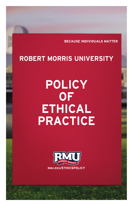**BECAUSE INDIVIDUALS MATTER**

# **ROBERT MORRIS UNIVERSITY**

# **POLICY OF ETHICAL PRACTICE**

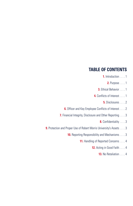# **TABLE OF CONTENTS**

- **1.** Introduction . . . . 1
	- **2.** Purpose . . . . 1
- **3.** Ethical Behavior . . . . 1
- **4.** Conflicts of Interest . . . . 1
	- **5.** Disclosures . . . . 2
- **6.** Officer and Key Employee Conflicts of Interest . . . . 2
- **7.** Financial Integrity, Disclosure and Other Reporting . . . . 3
	- **8.** Confidentiality . . . . 3
- **9.** Protection and Proper Use of Robert Morris University's Assets . . . . 3
	- **10.** Reporting Responsibility and Mechanisms . . . . 3
		- **11.** Handling of Reported Concerns . . . . 4
			- **12.** Acting in Good Faith . . . . 4
				- **13.** No Retaliation . . . . 4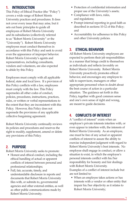# **1. INTRODUCTION**

This Policy of Ethical Practice (the "Policy") covers a wide range of Robert Morris University practices and procedures. It does not cover every issue that may arise, but it sets out basic principles to guide all employees of Robert Morris University and its subsidiaries (collectively referred to as "Robert Morris University" or the "University"). Robert Morris University employees must conduct themselves in accordance with this Policy and seek to avoid even the appearance of improper behavior. Robert Morris University's agents and representatives, including consultants, vendors and volunteers, are also expected to abide by this Policy.

Employees must comply with all applicable federal, state and local laws. If a provision of this Policy conflicts with a law, employees must comply with the law. This Policy supersedes all other codes of conduct, policies, procedures, instructions, practices, rules, or written or verbal representations to the extent that they are inconsistent with this Policy. However, this Policy does not supersede the provisions of any applicable collective bargaining agreement.

Robert Morris University continually reviews its policies and procedures and reserves the right to modify, supplement, amend or delete any provisions of this Policy.

# **2. PURPOSE**

Robert Morris University seeks to promote:

- Honest and ethical conduct, including the ethical handling of actual or apparent conflicts of interest between personal and professional relationships;
- Full, fair, accurate, timely, and understandable disclosure in reports and documents that Robert Morris University files with, or submits to, governmental agencies and other external entities, as well as other public communications made by Robert Morris University;
- Protection of confidential information and proper use of the University's assets;
- Compliance with laws, rules, and regulations;
- Prompt internal reporting in good faith as described in sections 10-12 of this Policy; and
- Accountability for adherence to this Policy and other University policies.

# **3. ETHICAL BEHAVIOR**

All Robert Morris University employees are expected to perform their job responsibilities in a manner that brings credit to themselves as individuals and reflects favorably on Robert Morris University. Robert Morris University proactively promotes ethical behavior, and encourages any employee to talk to supervisors, managers or other appropriate personnel when in doubt about the best course of action in a particular situation. The guidance set forth in this Policy, together with good common sense and one's own sense of right and wrong, are meant to guide decisions.

# **4. CONFLICTS OF INTEREST**

A "conflict of interest" exists when an employee's private interests interfere with, or even appear to interfere with, the interests of Robert Morris University. As an employee, one must be free of any actual or apparent conflicts of interest to assure the ability to exercise independent judgment with regard to Robert Morris University's best interests. No employee shall engage in conduct, or allow a situation to exist, in which the employee's personal interests conflict with his/her responsibility for honesty and fair dealings with Robert Morris University.

Examples of a conflict of interest include but are not limited to:

• When an employee takes actions or has interests with a vendor or other entity that impair his/her objectivity as it relates to Robert Morris University;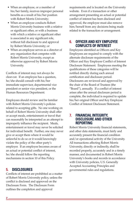- When an employee, or a member of his/her family, receives improper personal benefits as a result of his/her position with Robert Morris University;
- When an employee conducts Robert Morris University business with a relative or significant other, or with a business with which a relative or significant other is associated in any significant role, without full disclosure to and approval by Robert Morris University; or
- When an employee serves as a director of any organization that competes with Robert Morris University, except as otherwise approved by Robert Morris University.

Conflicts of interest may not always be clear-cut. If an employee has a question, he/she should consult with his/her immediate supervisor, departmental vice president or senior vice president, or the Human Resources Department.

Employees should review and be familiar with Robert Morris University's policies related to accepting gifts. No one working on behalf of Robert Morris University shall offer or accept meals, entertainment or travel that can reasonably be interpreted as an attempt to improperly influence the recipient. Meals, entertainment or travel may never be solicited for individual benefit. Further, one may never give or accept them where it would be unlawful to do so or it would knowingly violate the policy of the other party's employer. If an employee becomes aware of an actual or potential conflict of interest, he/she should follow the reporting mechanisms in section 10 of this Policy.

#### **5. DISCLOSURES**

Conflicts of interest are prohibited as a matter of Robert Morris University policy, unless the conflict is disclosed and approved on the Disclosure Form. The Disclosure Form outlines the completion and approval

requirements and is located on the University website. Even if a transaction or other arrangement presenting an actual or potential conflict of interest has been disclosed and approved, the employee must also remove him/herself from any decisions being made related to the transaction or arrangement.

#### **6. OFFICER AND KEY EMPLOYEE CONFLICTS OF INTEREST**

Employees identified as Officers and Key Employees are required to comply with the alternate disclosure requirements of the Officer and Key Employee Conflict of Interest Disclosure Statement. Employees meeting the qualifications of these categories will be notified directly during each annual certification and disclosure period. Disclosures are reviewed and approved by the chair of the Board of Trustees (the "Board"), annually. If a conflict of interest arises after the annual disclosure period is complete, the individual is required to update his/her original Officer and Key Employee Conflict of Interest Disclosure Statement.

#### **7. FINANCIAL INTEGRITY, DISCLOSURE AND OTHER REPORTING**

Robert Morris University financial statements, and other data statements, must fairly and accurately present the financial condition and/or operational activity of the University. All transactions affecting Robert Morris University, directly or indirectly, shall be recorded properly, accurately and in a timely manner, and documented in Robert Morris University's books and records in accordance with University policies, U.S. Generally Accepted Accounting Principles and governmental rules and regulations.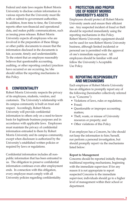Federal and state laws require Robert Morris University to disclose certain information in various reports that the University must file with or submit to government authorities. In addition, from time to time, the University reports other non-financial and operational data, and makes public communications, such as issuing press releases. Robert Morris University expects all employees who are involved in the preparation of these filings or other public documents to ensure that the information disclosed in the documents is fair, accurate, timely and understandable. To the extent that an employee reasonably believes that questionable accounting, auditing, or other reporting conduct/practices have occurred or are occurring, he/she should utilize the reporting mechanisms in this Policy.

#### **8. CONFIDENTIALITY**

Robert Morris University respects the privacy of its employees, students, vendors, and customers. The University's relationship with its campus community is built on trust and respect. Accordingly, Robert Morris University will provide confidential information to others only on a need-to-know basis for legitimate business purposes and in accordance with applicable laws. Employees must maintain the privacy of confidential information entrusted to them by Robert Morris University and its campus community, except when disclosure is authorized by the University's established written policies or required by laws or regulations.

Confidential information includes all nonpublic information that has been entrusted to us. The obligation to preserve confidential information continues even after employment ends. In connection with this obligation, every employee must comply with all University policies regarding confidentiality.

#### **9. PROTECTION AND PROPER USE OF ROBERT MORRIS UNIVERSITY'S ASSETS**

Employees should protect all Robert Morris University assets and ensure their efficient use. Any suspected incident of fraud or theft should be reported immediately using the reporting mechanisms in this Policy. Robert Morris University equipment should not be used for non-Robert Morris University business, although limited incidental or personal use is permitted with the approval of one's immediate supervisor. All employees should be familiar with and follow the University's Acceptable Use Policy.

#### **10. REPORTING RESPONSIBILITY AND MECHANISMS**

Each employee of Robert Morris University has an obligation to promptly report any of the following (hereinafter collectively referred to as "Concerns"):

- Violations of laws, rules or regulations;
- Fraud;
- Questionable or improper accounting matters;
- Theft, waste, or misuse of University resources or property; and
- Other violations of this Policy.

If an employee has a Concern, he/she should not keep the information to him/herself, nor perform a personal investigation, but should promptly report via the mechanisms listed below:

#### **Report to Management**

Concerns should be reported initially through traditional reporting mechanisms, beginning with the immediate supervisor. If for any reason it is not appropriate to report suspected Concerns to the immediate supervisor, individuals should go to a higher level of management within their school or department.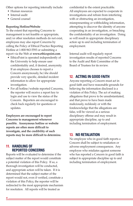Other options for reporting internally include:

- Human resources
- Internal audit
- General counsel

#### **Reporting Hotline/Website**

To the extent that reporting Concerns to management is not feasible or appropriate, and/or other resolution methods do not exist, employees may also report Concerns by calling the Policy of Ethical Practice Reporting Hotline at 1-800-963-5593 or submitting a report via the Web at **www.ethicspoint.com**.

- EthicsPoint is operated independently of the University to help ensure user confidentiality and, if desired, anonymity. If an employee chooses to report a Concern anonymously, he/she should provide very specific, detailed incident information to allow for appropriate investigation.
- For all hotline/website reported Concerns, the reporter will receive a report key to login and use to view the status of the Concern. Reporters are encouraged to check back regularly for questions or updates.

**Employees are encouraged to report Concerns to management whenever possible. Anonymous hotline or website reports are often more difficult to investigate, and the credibility of such reports may be more difficult to determine.**

## **11. HANDLING OF REPORTED CONCERNS**

Reports will be evaluated to determine if the subject matter of the report would constitute a potential violation of this Policy. If so, a thorough investigation will be conducted, and appropriate action will be taken. If it is determined that the subject matter of the report would not, even if verified, constitute a violation of this Policy, the reporter will be redirected to the most appropriate mechanism for resolution. All reports will be treated as

confidential to the extent practicable. All employees are expected to cooperate in investigations and refrain from interfering with or obstructing an investigation, misrepresenting or withholding information, attempting to discover the identity of anyone cooperating in an investigation, or breaching the confidentiality of an investigation. Doing so will result in appropriate disciplinary action up to and including termination of employment.

Internal audit will regularly report investigation results of reported Concerns to the Audit and Risk Committee of the Board of Trustees for its review.

# **12. ACTING IN GOOD FAITH**

Anyone reporting a Concern must act in good faith and have reasonable grounds for believing the information disclosed is a violation of this Policy. The act of making allegations that prove to be unsubstantiated, and that prove to have been made maliciously, recklessly or with the foreknowledge that the allegations are false, will be viewed as a serious disciplinary offense and may result in appropriate discipline, up to and including termination of employment.

## **13. NO RETALIATION**

No employee who in good faith reports a Concern shall be subject to retaliation or adverse employment consequences. Any employee who retaliates against someone who has reported a Concern in good faith is subject to appropriate discipline up to and including termination of employment.